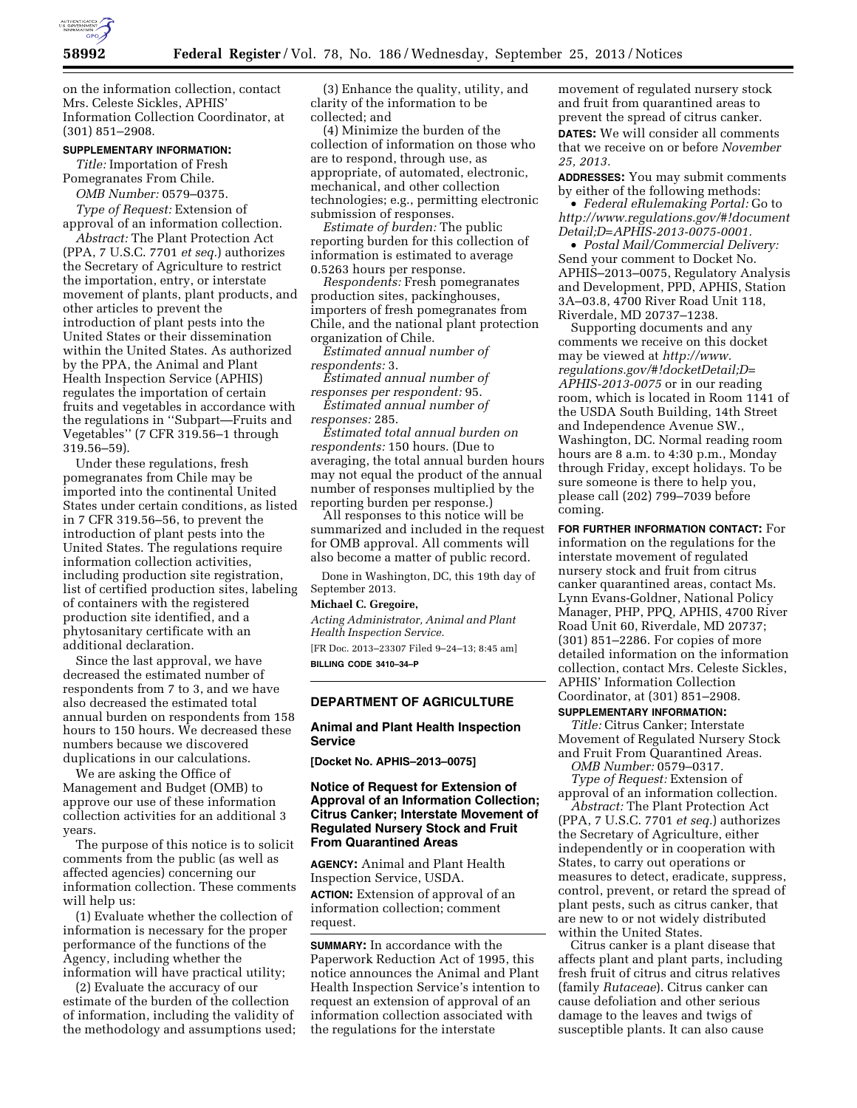

on the information collection, contact Mrs. Celeste Sickles, APHIS' Information Collection Coordinator, at (301) 851–2908.

#### **SUPPLEMENTARY INFORMATION:**

*Title:* Importation of Fresh Pomegranates From Chile. *OMB Number:* 0579–0375.

*Type of Request:* Extension of approval of an information collection.

*Abstract:* The Plant Protection Act (PPA, 7 U.S.C. 7701 *et seq.*) authorizes the Secretary of Agriculture to restrict the importation, entry, or interstate movement of plants, plant products, and other articles to prevent the introduction of plant pests into the United States or their dissemination within the United States. As authorized by the PPA, the Animal and Plant Health Inspection Service (APHIS) regulates the importation of certain fruits and vegetables in accordance with the regulations in ''Subpart—Fruits and Vegetables'' (7 CFR 319.56–1 through 319.56–59).

Under these regulations, fresh pomegranates from Chile may be imported into the continental United States under certain conditions, as listed in 7 CFR 319.56–56, to prevent the introduction of plant pests into the United States. The regulations require information collection activities, including production site registration, list of certified production sites, labeling of containers with the registered production site identified, and a phytosanitary certificate with an additional declaration.

Since the last approval, we have decreased the estimated number of respondents from 7 to 3, and we have also decreased the estimated total annual burden on respondents from 158 hours to 150 hours. We decreased these numbers because we discovered duplications in our calculations.

We are asking the Office of Management and Budget (OMB) to approve our use of these information collection activities for an additional 3 years.

The purpose of this notice is to solicit comments from the public (as well as affected agencies) concerning our information collection. These comments will help us:

(1) Evaluate whether the collection of information is necessary for the proper performance of the functions of the Agency, including whether the information will have practical utility;

(2) Evaluate the accuracy of our estimate of the burden of the collection of information, including the validity of the methodology and assumptions used;

(3) Enhance the quality, utility, and clarity of the information to be collected; and

(4) Minimize the burden of the collection of information on those who are to respond, through use, as appropriate, of automated, electronic, mechanical, and other collection technologies; e.g., permitting electronic submission of responses.

*Estimate of burden:* The public reporting burden for this collection of information is estimated to average 0.5263 hours per response.

*Respondents:* Fresh pomegranates production sites, packinghouses, importers of fresh pomegranates from Chile, and the national plant protection organization of Chile.

*Estimated annual number of respondents:* 3.

*Estimated annual number of responses per respondent:* 95.

*Estimated annual number of responses:* 285.

*Estimated total annual burden on respondents:* 150 hours. (Due to averaging, the total annual burden hours may not equal the product of the annual number of responses multiplied by the reporting burden per response.)

All responses to this notice will be summarized and included in the request for OMB approval. All comments will also become a matter of public record.

Done in Washington, DC, this 19th day of September 2013.

### **Michael C. Gregoire,**

*Acting Administrator, Animal and Plant Health Inspection Service.*  [FR Doc. 2013–23307 Filed 9–24–13; 8:45 am] **BILLING CODE 3410–34–P** 

## **DEPARTMENT OF AGRICULTURE**

#### **Animal and Plant Health Inspection Service**

**[Docket No. APHIS–2013–0075]** 

# **Notice of Request for Extension of Approval of an Information Collection; Citrus Canker; Interstate Movement of Regulated Nursery Stock and Fruit From Quarantined Areas**

**AGENCY:** Animal and Plant Health Inspection Service, USDA. **ACTION:** Extension of approval of an information collection; comment request.

**SUMMARY:** In accordance with the Paperwork Reduction Act of 1995, this notice announces the Animal and Plant Health Inspection Service's intention to request an extension of approval of an information collection associated with the regulations for the interstate

movement of regulated nursery stock and fruit from quarantined areas to prevent the spread of citrus canker. **DATES:** We will consider all comments that we receive on or before *November 25, 2013.* 

**ADDRESSES:** You may submit comments by either of the following methods:

• *Federal eRulemaking Portal:* Go to *[http://www.regulations.gov/#!document](http://www.regulations.gov/#!documentDetail;D=APHIS-2013-0075-0001) [Detail;D=APHIS-2013-0075-0001.](http://www.regulations.gov/#!documentDetail;D=APHIS-2013-0075-0001)* 

• *Postal Mail/Commercial Delivery:*  Send your comment to Docket No. APHIS–2013–0075, Regulatory Analysis and Development, PPD, APHIS, Station 3A–03.8, 4700 River Road Unit 118, Riverdale, MD 20737–1238.

Supporting documents and any comments we receive on this docket may be viewed at *[http://www.](http://www.regulations.gov/#!docketDetail;D=APHIS-2013-0075) [regulations.gov/#!docketDetail;D=](http://www.regulations.gov/#!docketDetail;D=APHIS-2013-0075) [APHIS-2013-0075](http://www.regulations.gov/#!docketDetail;D=APHIS-2013-0075)* or in our reading room, which is located in Room 1141 of the USDA South Building, 14th Street and Independence Avenue SW., Washington, DC. Normal reading room hours are 8 a.m. to 4:30 p.m., Monday through Friday, except holidays. To be sure someone is there to help you, please call (202) 799–7039 before coming.

**FOR FURTHER INFORMATION CONTACT:** For information on the regulations for the interstate movement of regulated nursery stock and fruit from citrus canker quarantined areas, contact Ms. Lynn Evans-Goldner, National Policy Manager, PHP, PPQ, APHIS, 4700 River Road Unit 60, Riverdale, MD 20737; (301) 851–2286. For copies of more detailed information on the information collection, contact Mrs. Celeste Sickles, APHIS' Information Collection Coordinator, at (301) 851–2908.

#### **SUPPLEMENTARY INFORMATION:**

*Title:* Citrus Canker; Interstate Movement of Regulated Nursery Stock and Fruit From Quarantined Areas.

*OMB Number:* 0579–0317. *Type of Request:* Extension of approval of an information collection.

*Abstract:* The Plant Protection Act (PPA, 7 U.S.C. 7701 *et seq.*) authorizes the Secretary of Agriculture, either independently or in cooperation with States, to carry out operations or measures to detect, eradicate, suppress, control, prevent, or retard the spread of plant pests, such as citrus canker, that are new to or not widely distributed within the United States.

Citrus canker is a plant disease that affects plant and plant parts, including fresh fruit of citrus and citrus relatives (family *Rutaceae*). Citrus canker can cause defoliation and other serious damage to the leaves and twigs of susceptible plants. It can also cause